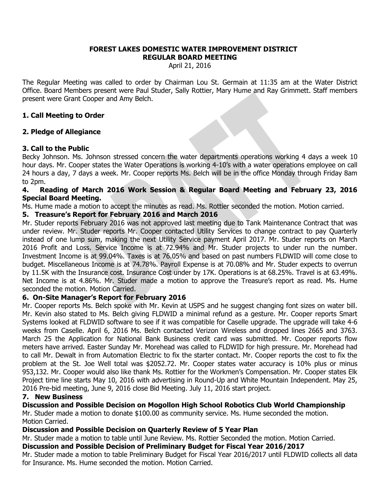#### **FOREST LAKES DOMESTIC WATER IMPROVEMENT DISTRICT REGULAR BOARD MEETING**

April 21, 2016

The Regular Meeting was called to order by Chairman Lou St. Germain at 11:35 am at the Water District Office. Board Members present were Paul Studer, Sally Rottier, Mary Hume and Ray Grimmett. Staff members present were Grant Cooper and Amy Belch.

## **1. Call Meeting to Order**

## **2. Pledge of Allegiance**

## **3. Call to the Public**

Becky Johnson. Ms. Johnson stressed concern the water departments operations working 4 days a week 10 hour days. Mr. Cooper states the Water Operations is working 4-10's with a water operations employee on call 24 hours a day, 7 days a week. Mr. Cooper reports Ms. Belch will be in the office Monday through Friday 8am to 2pm.

## **4. Reading of March 2016 Work Session & Regular Board Meeting and February 23, 2016 Special Board Meeting.**

Ms. Hume made a motion to accept the minutes as read. Ms. Rottier seconded the motion. Motion carried.

## **5. Treasure's Report for February 2016 and March 2016**

Mr. Studer reports February 2016 was not approved last meeting due to Tank Maintenance Contract that was under review. Mr. Studer reports Mr. Cooper contacted Utility Services to change contract to pay Quarterly instead of one lump sum, making the next Utility Service payment April 2017. Mr. Studer reports on March 2016 Profit and Loss. Service Income is at 72.94% and Mr. Studer projects to under run the number. Investment Income is at 99.04%. Taxes is at 76.05% and based on past numbers FLDWID will come close to budget. Miscellaneous Income is at 74.78%. Payroll Expense is at 70.08% and Mr. Studer expects to overrun by 11.5K with the Insurance cost. Insurance Cost under by 17K. Operations is at 68.25%. Travel is at 63.49%. Net Income is at 4.86%. Mr. Studer made a motion to approve the Treasure's report as read. Ms. Hume seconded the motion. Motion Carried.

### **6. On-Site Manager's Report for February 2016**

Mr. Cooper reports Ms. Belch spoke with Mr. Kevin at USPS and he suggest changing font sizes on water bill. Mr. Kevin also stated to Ms. Belch giving FLDWID a minimal refund as a gesture. Mr. Cooper reports Smart Systems looked at FLDWID software to see if it was compatible for Caselle upgrade. The upgrade will take 4-6 weeks from Caselle. April 6, 2016 Ms. Belch contacted Verizon Wireless and dropped lines 2665 and 3763. March 25 the Application for National Bank Business credit card was submitted. Mr. Cooper reports flow meters have arrived. Easter Sunday Mr. Morehead was called to FLDWID for high pressure. Mr. Morehead had to call Mr. Dewalt in from Automation Electric to fix the starter contact. Mr. Cooper reports the cost to fix the problem at the St. Joe Well total was \$2052.72. Mr. Cooper states water accuracy is 10% plus or minus 953,132. Mr. Cooper would also like thank Ms. Rottier for the Workmen's Compensation. Mr. Cooper states Elk Project time line starts May 10, 2016 with advertising in Round-Up and White Mountain Independent. May 25, 2016 Pre-bid meeting, June 9, 2016 close Bid Meeting. July 11, 2016 start project.

### **7. New Business**

**Discussion and Possible Decision on Mogollon High School Robotics Club World Championship** Mr. Studer made a motion to donate \$100.00 as community service. Ms. Hume seconded the motion. Motion Carried.

## **Discussion and Possible Decision on Quarterly Review of 5 Year Plan**

Mr. Studer made a motion to table until June Review. Ms. Rottier Seconded the motion. Motion Carried.

### **Discussion and Possible Decision of Preliminary Budget for Fiscal Year 2016/2017**

Mr. Studer made a motion to table Preliminary Budget for Fiscal Year 2016/2017 until FLDWID collects all data for Insurance. Ms. Hume seconded the motion. Motion Carried.